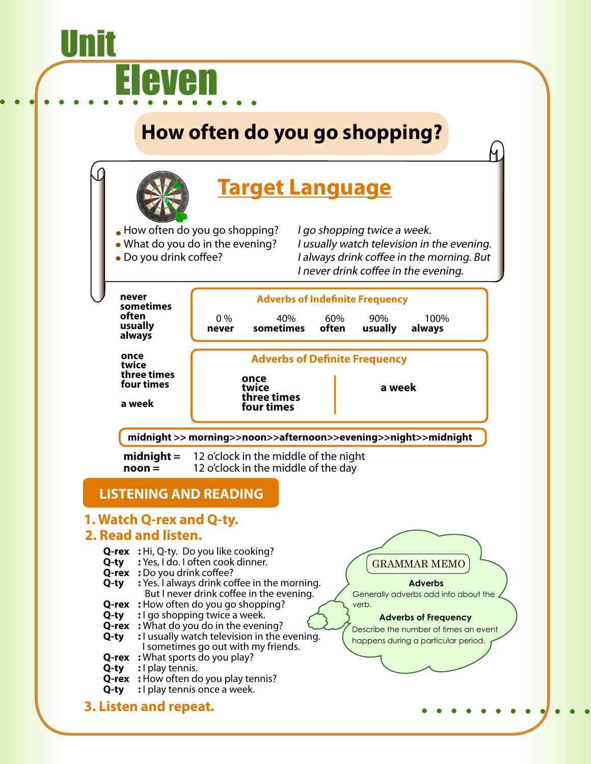# **How often do you go shopping?**

<u>Unit</u>

Eleven

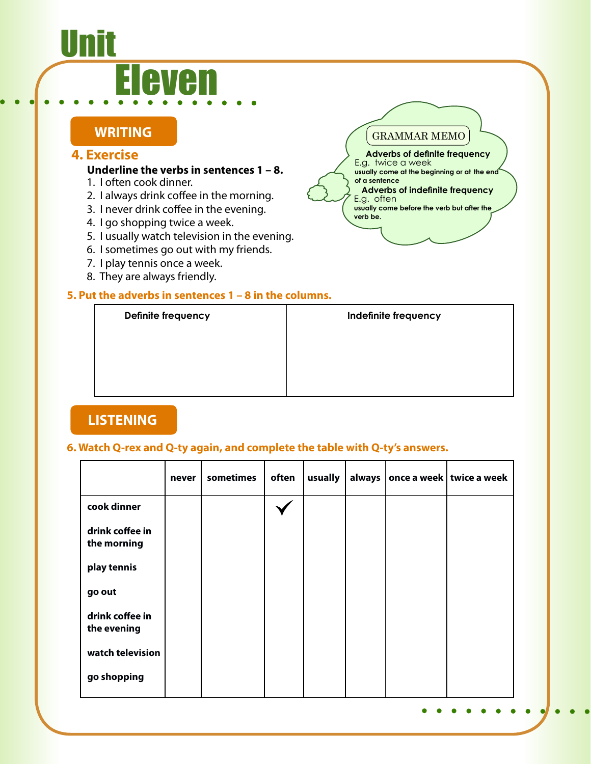## <u>Unit</u> Eleven

#### **WRITING**

#### **4. Exercise**

#### **Underline the verbs in sentences 1 – 8.**

- 1. I often cook dinner.
- 2. I always drink coffee in the morning.
- 3. I never drink coffee in the evening.
- 4. I go shopping twice a week.
- 5. I usually watch television in the evening.
- 6. I sometimes go out with my friends.
- 7. I play tennis once a week.
- 8. They are always friendly.

#### **5. Put the adverbs in sentences 1 – 8 in the columns.**



GRAMMAR MEMO

E.g. twice a week

**of a sentence**

E.g. often

**verb be.**

**Adverbs of definite frequency** 

**usually come at the beginning or at the end** 

**Adverbs of indefinite frequency** 

**usually come before the verb but after the** 

#### **LISTENING**

#### **6. Watch Q-rex and Q-ty again, and complete the table with Q-ty's answers.**

|                                | never | sometimes | often | usually |  | always   once a week   twice a week |
|--------------------------------|-------|-----------|-------|---------|--|-------------------------------------|
| cook dinner                    |       |           |       |         |  |                                     |
| drink coffee in<br>the morning |       |           |       |         |  |                                     |
| play tennis                    |       |           |       |         |  |                                     |
| go out                         |       |           |       |         |  |                                     |
| drink coffee in<br>the evening |       |           |       |         |  |                                     |
| watch television               |       |           |       |         |  |                                     |
| go shopping                    |       |           |       |         |  |                                     |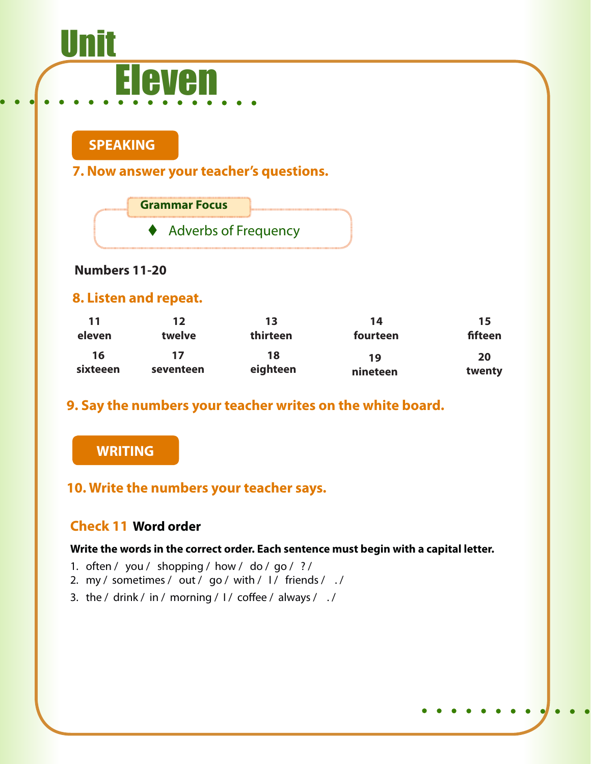# Unit Eleven

#### **SPEAKING**

**7. Now answer your teacher's questions.**



#### **Numbers 11-20**

#### **8. Listen and repeat.**

| 11             | 12              | 13             | 14             | 15           |
|----------------|-----------------|----------------|----------------|--------------|
| eleven         | twelve          | thirteen       | fourteen       | fifteen      |
| 16<br>sixteeen | 17<br>seventeen | 18<br>eighteen | 19<br>nineteen | 20<br>twenty |

#### **9. Say the numbers your teacher writes on the white board.**

#### **WRITING**

#### **10. Write the numbers your teacher says.**

#### **Check 11 Word order**

#### **Write the words in the correct order. Each sentence must begin with a capital letter.**

- 1. often / you / shopping / how / do / go / ? /
- 2. my / sometimes / out / go / with /  $1/$  friends / ./
- 3. the / drink / in / morning /  $1/$  coffee / always / ./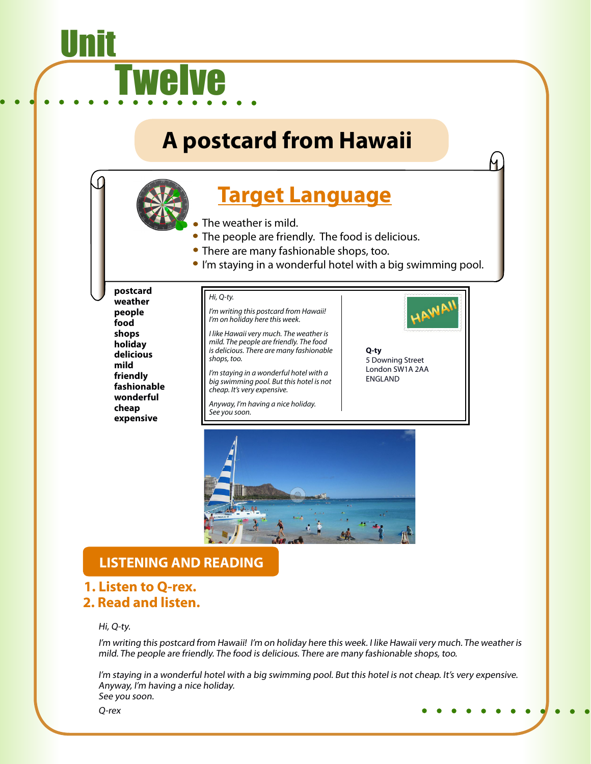## **A postcard from Hawaii**

### **Target Language**

- The weather is mild.
	- The people are friendly. The food is delicious.
	- There are many fashionable shops, too.
- I'm staying in a wonderful hotel with a big swimming pool.

**postcard weather people food shops holiday delicious mild friendly fashionable wonderful cheap expensive**

<u>Unit</u>

#### *Hi, Q-ty.*

welve

*I'm writing this postcard from Hawaii! I'm on holiday here this week.*

*I like Hawaii very much. The weather is mild. The people are friendly. The food is delicious. There are many fashionable shops, too.*

*I'm staying in a wonderful hotel with a big swimming pool. But this hotel is not cheap. It's very expensive.*

*Anyway, I'm having a nice holiday. See you soon.*



5 Downing Street London SW1A 2AA ENGLAND



#### **LISTENING AND READING**

#### **1. Listen to Q-rex. 2. Read and listen.**

#### Hi, Q-ty.

I'm writing this postcard from Hawaii! I'm on holiday here this week. I like Hawaii very much. The weather is mild. The people are friendly. The food is delicious. There are many fashionable shops, too.

I'm staying in a wonderful hotel with a big swimming pool. But this hotel is not cheap. It's very expensive. Anyway, I'm having a nice holiday. See you soon.

Q-rex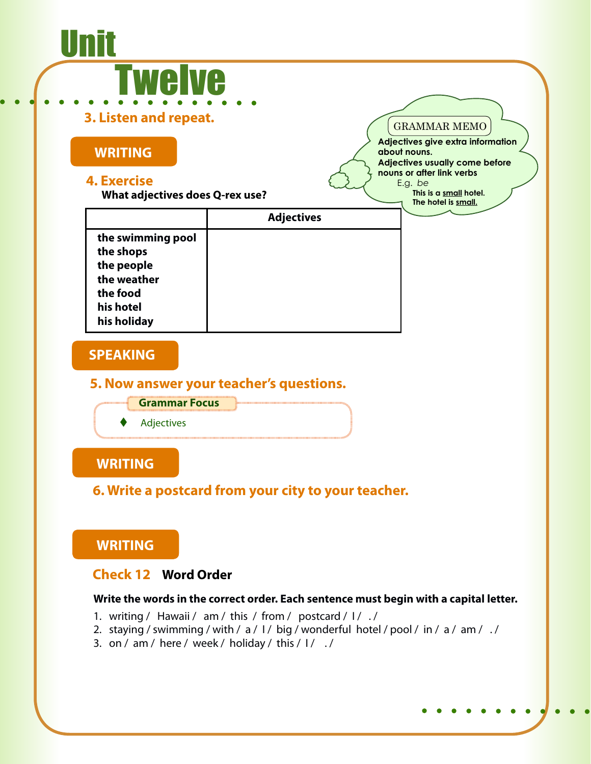#### **What adjectives does Q-rex use? WRITING SPEAKING 5. Now answer your teacher's questions. 4. Exercise WRITING Grammar Focus 6. Write a postcard from your city to your teacher. Adjectives** <u>Unit</u> welve **3. Listen and repeat.** GRAMMAR MEMO **Adjectives give extra information about nouns. Adjectives usually come before nouns or after link verbs**  E.g. *be*  **This is a small hotel. The hotel is small. the swimming pool the shops the people the weather the food his hotel his holiday Adjectives**

#### **WRITING**

#### **Check 12 Word Order**

#### **Write the words in the correct order. Each sentence must begin with a capital letter.**

- 1. writing / Hawaii / am / this / from / postcard / I / ./
- 2. staying / swimming / with / a / I / big / wonderful hotel / pool / in / a / am / ./
- 3. on / am / here / week / holiday / this /  $1/$  .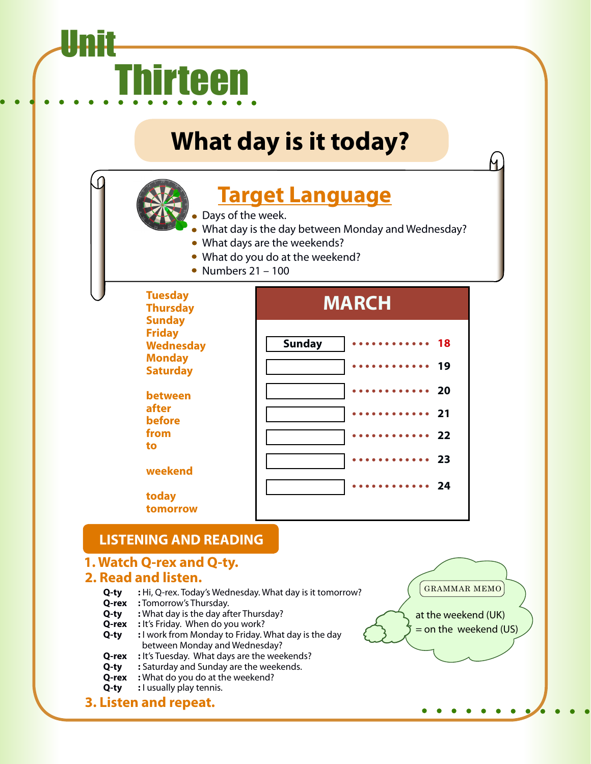# Unit Thirteen

## **What day is it today?**

## **Target Language**

- Days of the week.
- What day is the day between Monday and Wednesday?
- What days are the weekends?
- What do you do at the weekend?
- Numbers  $21 100$

| <b>Tuesday</b><br><b>Thursday</b>                                                      | <b>MARCH</b>                                                                                                                                                            |  |  |
|----------------------------------------------------------------------------------------|-------------------------------------------------------------------------------------------------------------------------------------------------------------------------|--|--|
| <b>Sunday</b><br><b>Friday</b><br><b>Wednesday</b><br><b>Monday</b><br><b>Saturday</b> | <b>Sunday</b><br>18<br>19                                                                                                                                               |  |  |
| between<br>after<br>before<br>from<br>to                                               | <b>20</b><br>21<br>.<br>- 22<br>$\begin{array}{cccccccccccccccccc} \bullet & \bullet & \bullet & \bullet & \bullet & \bullet & \bullet & \bullet & \bullet \end{array}$ |  |  |
| weekend<br>today<br>tomorrow                                                           | - 23<br>- 24                                                                                                                                                            |  |  |

#### **LISTENING AND READING**

#### **1. Watch Q-rex and Q-ty.**

#### **2. Read and listen.**

- **Q-ty :** Hi, Q-rex. Today's Wednesday. What day is it tomorrow?
- **Q-rex :** Tomorrow's Thursday.
- **Q-ty :** What day is the day after Thursday?
- **Q-rex :** It's Friday. When do you work?
- **Q-ty** : I work from Monday to Friday. What day is the day between Monday and Wednesday?
- **Q-rex :** It's Tuesday. What days are the weekends?
- **Q-ty :** Saturday and Sunday are the weekends.
- **Q-rex :** What do you do at the weekend?
- **Q-ty :** I usually play tennis.
- **3. Listen and repeat.**

GRAMMAR MEMO

at the weekend (UK)  $=$  on the weekend (US)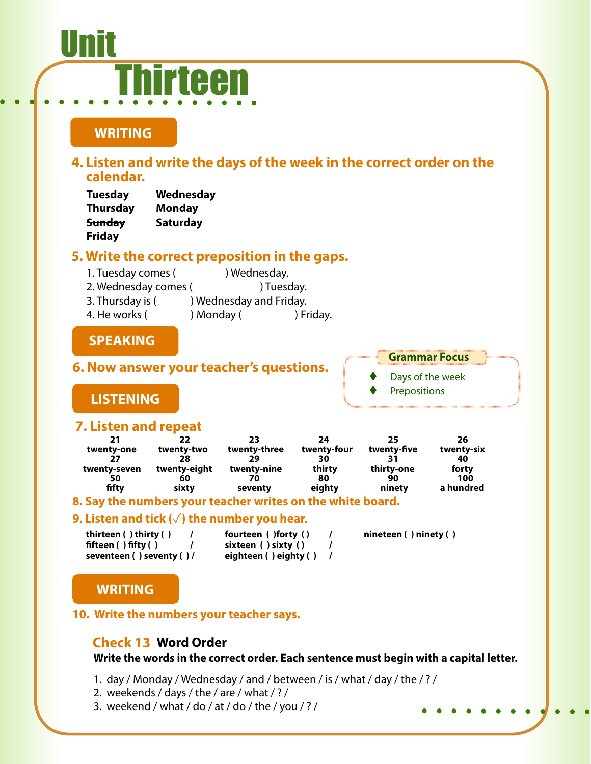#### **WRITING SPEAKING 6. Now answer your teacher's questions. 4. Listen and write the days of the week in the correct order on the calendar. 5. Write the correct preposition in the gaps. LISTENING 7. Listen and repeat Grammar Focus** Days of the week Prepositions <u>Unit</u> hirteen **Tuesday Wednesday Thursday Monday Sunday Saturday Friday** 1. Tuesday comes (
and a ) Wednesday. 2. Wednesday comes (
and the computation of Tuesday. 3. Thursday is ( ) Wednesday and Friday. 4. He works ( ) Monday ( ) Friday. **21 22 23 24 25 26 twenty-one twenty-two twenty-three twenty-four twenty-five twenty-six 27 28 29 30 31 40 twenty-seven twenty-eight twenty-nine thirty thirty-one forty 50 60 70 80 90 100 fifty sixty seventy eighty ninety a hundred**

#### **8. Say the numbers your teacher writes on the white board.**

#### **9. Listen and tick (√) the number you hear.**

|                           | fourteen () forty ()  | $n$ ineteen () ninety ()  |
|---------------------------|-----------------------|---------------------------|
|                           | sixteen ( ) sixty ( ) |                           |
| seventeen () seventy () / |                       |                           |
|                           |                       | eighteen ( ) eighty ( ) / |

#### **WRITING**

#### **10. Write the numbers your teacher says.**

#### **Check 13 Word Order**

**Write the words in the correct order. Each sentence must begin with a capital letter.**

- 1. day / Monday / Wednesday / and / between / is / what / day / the / ? /
- 2. weekends / days / the / are / what / ? /
- 3. weekend / what / do / at / do / the / you / ? /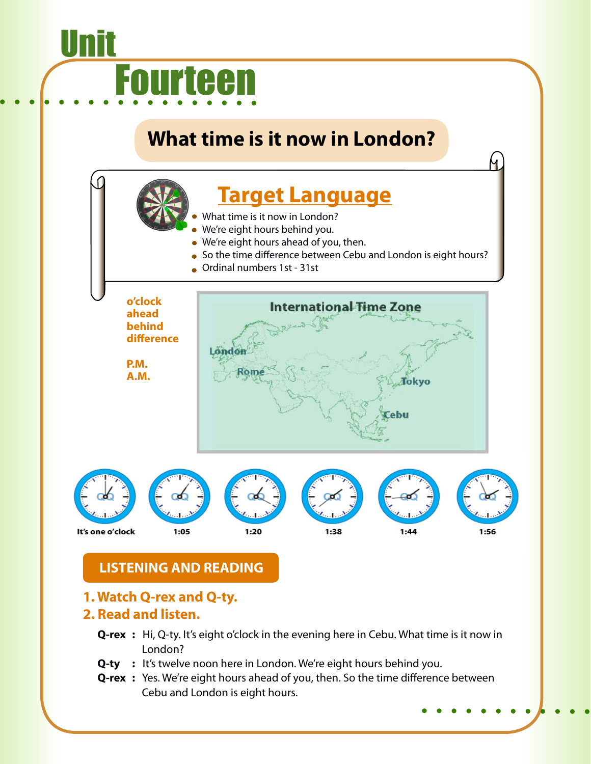# Unit Fourteen

### **What time is it now in London?**



- What time is it now in London?
- We're eight hours behind you.
- We're eight hours ahead of you, then.
- So the time difference between Cebu and London is eight hours?
- Ordinal numbers 1st 31st

**o'clock International Time Zone ahead behind difference** London **P.M. A.M.**Tokyo It's one o'clock 1:05  $1:20$ 1:38  $1:44$ 1:56

#### **LISTENING AND READING**

#### **1. Watch Q-rex and Q-ty.**

#### **2. Read and listen.**

- **Q-rex** : Hi, Q-ty. It's eight o'clock in the evening here in Cebu. What time is it now in London?
- **Q-ty** : It's twelve noon here in London. We're eight hours behind you.
- **Q-rex** : Yes. We're eight hours ahead of you, then. So the time difference between Cebu and London is eight hours.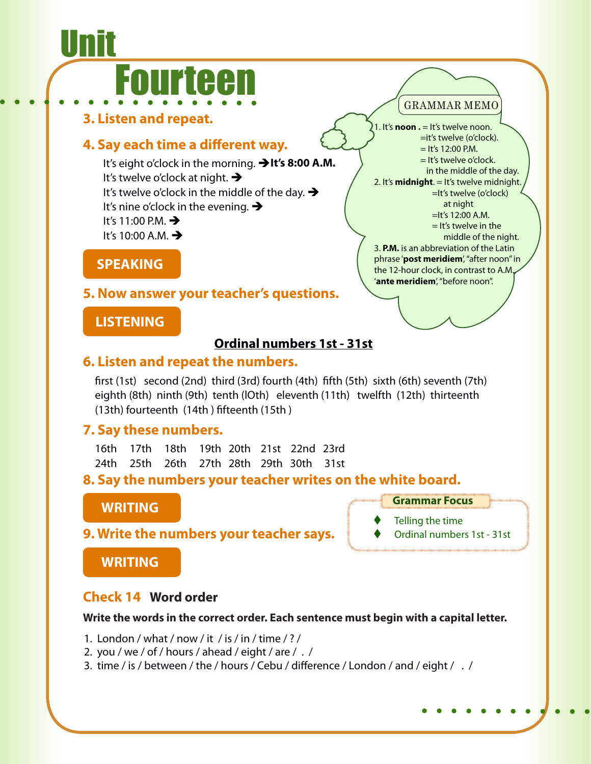# Unit Fourteen

**3. Listen and repeat.**

#### **4. Say each time a different way.**

It's eight o'clock in the morning. **It's 8:00 A.M.** It's twelve o'clock at night.  $\rightarrow$ It's twelve o'clock in the middle of the day.  $\rightarrow$ It's nine o'clock in the evening.  $\rightarrow$ It's 11:00 P.M.  $\rightarrow$ It's 10:00 A.M.  $\rightarrow$ 

**SPEAKING**

#### **5. Now answer your teacher's questions.**

#### **LISTENING**

#### **Ordinal numbers 1st - 31st**

#### **6. Listen and repeat the numbers.**

first (1st) second (2nd) third (3rd) fourth (4th) fifth (5th) sixth (6th) seventh (7th) eighth (8th) ninth (9th) tenth (lOth) eleventh (11th) twelfth (12th) thirteenth (13th) fourteenth (14th ) fifteenth (15th )

#### **7. Say these numbers.**

|  | 16th 17th 18th 19th 20th 21st 22nd 23rd |  |  |  |
|--|-----------------------------------------|--|--|--|
|  | 24th 25th 26th 27th 28th 29th 30th 31st |  |  |  |

**8. Say the numbers your teacher writes on the white board.**

#### **WRITING**

- **Grammar Focus**
- Telling the time
- Ordinal numbers 1st 31st

#### **9. Write the numbers your teacher says.**

**WRITING**

#### **Check 14 Word order**

#### **Write the words in the correct order. Each sentence must begin with a capital letter.**

- 1. London / what / now / it / is / in / time / ? /
- 2. you / we / of / hours / ahead / eight / are / . /
- 3. time / is / between / the / hours / Cebu / difference / London / and / eight / . /

#### GRAMMAR MEMO

1. It's **noon .** = It's twelve noon. =it's twelve (o'clock).  $=$  It's 12:00 P.M. = It's twelve o'clock. in the middle of the day. 2. It's **midnight**. = It's twelve midnight. =It's twelve (o'clock) at night =It's 12:00 A.M.  $=$  It's twelve in the middle of the night. 3. **P.M.** is an abbreviation of the Latin phrase '**post meridiem**', "after noon" in the 12-hour clock, in contrast to A.M., '**ante meridiem**', "before noon".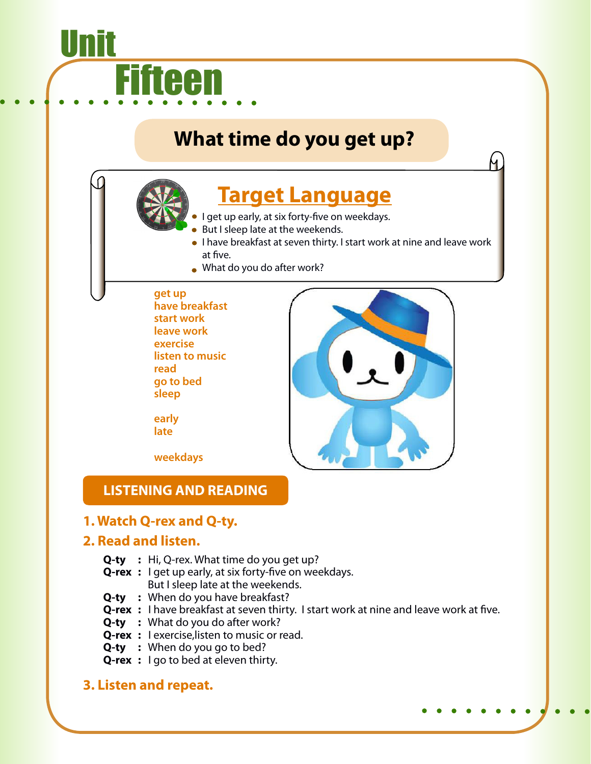### **What time do you get up?**

### **Target Language**

- I get up early, at six forty-five on weekdays.
- But I sleep late at the weekends.
- I have breakfast at seven thirty. I start work at nine and leave work at five.
- What do you do after work?

#### **get up**

fieen

Unit

**have breakfast start work leave work exercise listen to music read go to bed sleep**

**early late**

**weekdays**

#### **LISTENING AND READING**

#### **1. Watch Q-rex and Q-ty.**

#### **2. Read and listen.**

- **Q-ty :** Hi, Q-rex. What time do you get up?
- **Q-rex :** I get up early, at six forty-five on weekdays. But I sleep late at the weekends.
- **Q-ty :** When do you have breakfast?
- **Q-rex** : I have breakfast at seven thirty. I start work at nine and leave work at five.
- **Q-ty** : What do you do after work?
- **Q-rex :** I exercise,listen to music or read.
- **Q-ty :** When do you go to bed?
- **Q-rex** : I go to bed at eleven thirty.

#### **3. Listen and repeat.**